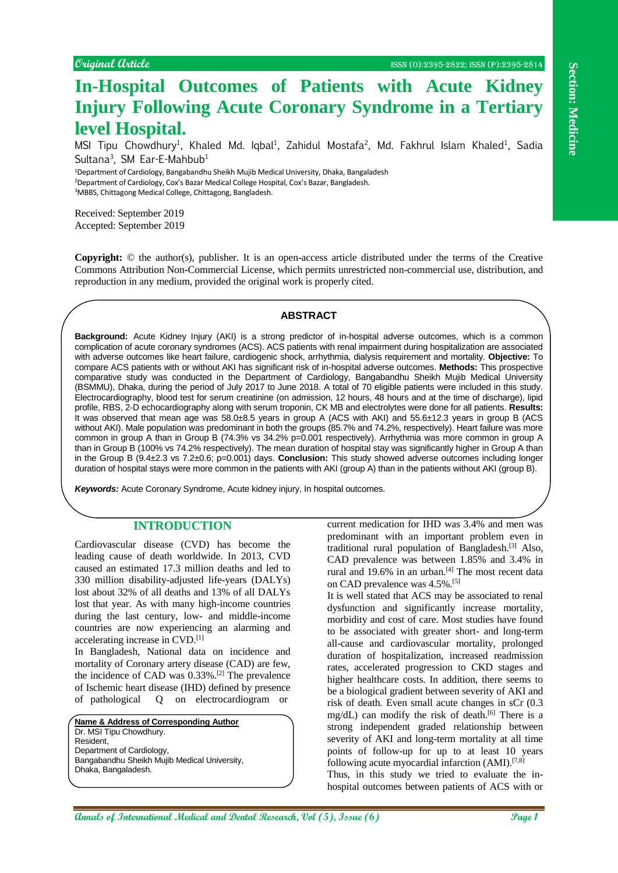# **In-Hospital Outcomes of Patients with Acute Kidney Injury Following Acute Coronary Syndrome in a Tertiary level Hospital.**

MSI Tipu Chowdhury<sup>1</sup>, Khaled Md. Iqbal<sup>1</sup>, Zahidul Mostafa<sup>2</sup>, Md. Fakhrul Islam Khaled<sup>1</sup>, Sadia Sultana<sup>3</sup>, SM Ear-E-Mahbub<sup>1</sup> <sup>1</sup>Department of Cardiology, Bangabandhu Sheikh Mujib Medical University, Dhaka, Bangaladesh

<sup>2</sup>Department of Cardiology, Cox's Bazar Medical College Hospital, Cox's Bazar, Bangladesh. <sup>3</sup>MBBS, Chittagong Medical College, Chittagong, Bangladesh.

Received: September 2019 Accepted: September 2019

**Copyright:** © the author(s), publisher. It is an open-access article distributed under the terms of the Creative Commons Attribution Non-Commercial License, which permits unrestricted non-commercial use, distribution, and reproduction in any medium, provided the original work is properly cited.

#### **ABSTRACT**

**Answer Constrained Constrained Constrained Constrained Constrained Constrained Constrained Constrained Constrained Constrained Constrained Constrained Constrained Constrained Constrained Constrained Constrained Constraine Background:** Acute Kidney Injury (AKI) is a strong predictor of in-hospital adverse outcomes, which is a common complication of acute coronary syndromes (ACS). ACS patients with renal impairment during hospitalization are associated with adverse outcomes like heart failure, cardiogenic shock, arrhythmia, dialysis requirement and mortality. **Objective:** To compare ACS patients with or without AKI has significant risk of in-hospital adverse outcomes. **Methods:** This prospective comparative study was conducted in the Department of Cardiology, Bangabandhu Sheikh Mujib Medical University (BSMMU), Dhaka, during the period of July 2017 to June 2018. A total of 70 eligible patients were included in this study. Electrocardiography, blood test for serum creatinine (on admission, 12 hours, 48 hours and at the time of discharge), lipid profile, RBS, 2-D echocardiography along with serum troponin, CK MB and electrolytes were done for all patients. **Results:** It was observed that mean age was 58.0±8.5 years in group A (ACS with AKI) and 55.6±12.3 years in group B (ACS without AKI). Male population was predominant in both the groups (85.7% and 74.2%, respectively). Heart failure was more common in group A than in Group B (74.3% vs 34.2% p=0.001 respectively). Arrhythmia was more common in group A than in Group B (100% vs 74.2% respectively). The mean duration of hospital stay was significantly higher in Group A than in the Group B (9.4±2.3 vs 7.2±0.6; p=0.001) days. **Conclusion:** This study showed adverse outcomes including longer duration of hospital stays were more common in the patients with AKI (group A) than in the patients without AKI (group B).

*Keywords:* Acute Coronary Syndrome, Acute kidney injury, In hospital outcomes.

# **INTRODUCTION**

Cardiovascular disease (CVD) has become the leading cause of death worldwide. In 2013, CVD caused an estimated 17.3 million deaths and led to 330 million disability-adjusted life-years (DALYs) lost about 32% of all deaths and 13% of all DALYs lost that year. As with many high-income countries during the last century, low- and middle-income countries are now experiencing an alarming and accelerating increase in CVD.[1]

In Bangladesh, National data on incidence and mortality of Coronary artery disease (CAD) are few, the incidence of CAD was 0.33%.[2] The prevalence of Ischemic heart disease (IHD) defined by presence of pathological Q on electrocardiogram or

**Name & Address of Corresponding Author** Dr. MSI Tipu Chowdhury. Resident, Department of Cardiology, Bangabandhu Sheikh Mujib Medical University, Dhaka, Bangaladesh.

current medication for IHD was 3.4% and men was predominant with an important problem even in traditional rural population of Bangladesh.[3] Also, CAD prevalence was between 1.85% and 3.4% in rural and 19.6% in an urban.<sup>[4]</sup> The most recent data on CAD prevalence was 4.5%.[5]

It is well stated that ACS may be associated to renal dysfunction and significantly increase mortality, morbidity and cost of care. Most studies have found to be associated with greater short- and long-term all-cause and cardiovascular mortality, prolonged duration of hospitalization, increased readmission rates, accelerated progression to CKD stages and higher healthcare costs. In addition, there seems to be a biological gradient between severity of AKI and risk of death. Even small acute changes in sCr (0.3 mg/dL) can modify the risk of death.[6] There is a strong independent graded relationship between severity of AKI and long-term mortality at all time points of follow-up for up to at least 10 years following acute myocardial infarction (AMI).[7,8]

Thus, in this study we tried to evaluate the inhospital outcomes between patients of ACS with or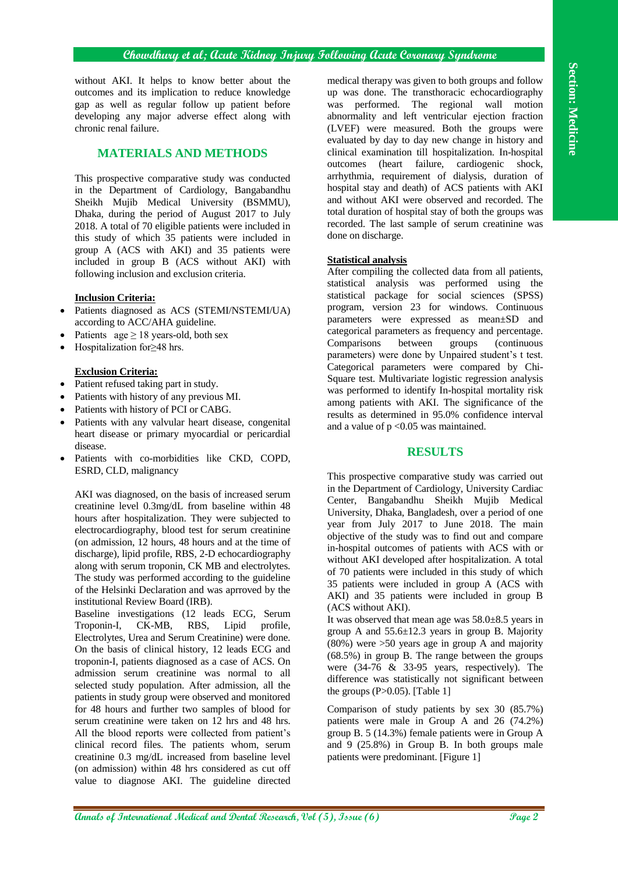without AKI. It helps to know better about the outcomes and its implication to reduce knowledge gap as well as regular follow up patient before developing any major adverse effect along with chronic renal failure.

# **MATERIALS AND METHODS**

This prospective comparative study was conducted in the Department of Cardiology, Bangabandhu Sheikh Mujib Medical University (BSMMU), Dhaka, during the period of August 2017 to July 2018. A total of 70 eligible patients were included in this study of which 35 patients were included in group A (ACS with AKI) and 35 patients were included in group B (ACS without AKI) with following inclusion and exclusion criteria.

## **Inclusion Criteria:**

- Patients diagnosed as ACS (STEMI/NSTEMI/UA) according to ACC/AHA guideline.
- Patients  $age \ge 18$  years-old, both sex
- Hospitalization for≥48 hrs.

# **Exclusion Criteria:**

- Patient refused taking part in study.
- Patients with history of any previous MI.
- Patients with history of PCI or CABG.
- Patients with any valvular heart disease, congenital heart disease or primary myocardial or pericardial disease.
- Patients with co-morbidities like CKD, COPD, ESRD, CLD, malignancy

AKI was diagnosed, on the basis of increased serum creatinine level 0.3mg/dL from baseline within 48 hours after hospitalization. They were subjected to electrocardiography, blood test for serum creatinine (on admission, 12 hours, 48 hours and at the time of discharge), lipid profile, RBS, 2-D echocardiography along with serum troponin, CK MB and electrolytes. The study was performed according to the guideline of the Helsinki Declaration and was aprroved by the institutional Review Board (IRB).

Baseline investigations (12 leads ECG, Serum Troponin-I, CK-MB, RBS, Lipid profile, Electrolytes, Urea and Serum Creatinine) were done. On the basis of clinical history, 12 leads ECG and troponin-I, patients diagnosed as a case of ACS. On admission serum creatinine was normal to all selected study population. After admission, all the patients in study group were observed and monitored for 48 hours and further two samples of blood for serum creatinine were taken on 12 hrs and 48 hrs. All the blood reports were collected from patient's clinical record files. The patients whom, serum creatinine 0.3 mg/dL increased from baseline level (on admission) within 48 hrs considered as cut off value to diagnose AKI. The guideline directed

medical therapy was given to both groups and follow up was done. The transthoracic echocardiography was performed. The regional wall motion abnormality and left ventricular ejection fraction (LVEF) were measured. Both the groups were evaluated by day to day new change in history and clinical examination till hospitalization. In-hospital outcomes (heart failure, cardiogenic shock, arrhythmia, requirement of dialysis, duration of hospital stay and death) of ACS patients with AKI and without AKI were observed and recorded. The total duration of hospital stay of both the groups was recorded. The last sample of serum creatinine was done on discharge.

# **Statistical analysis**

After compiling the collected data from all patients, statistical analysis was performed using the statistical package for social sciences (SPSS) program, version 23 for windows. Continuous parameters were expressed as mean±SD and categorical parameters as frequency and percentage. Comparisons between groups (continuous parameters) were done by Unpaired student's t test. Categorical parameters were compared by Chi-Square test. Multivariate logistic regression analysis was performed to identify In-hospital mortality risk among patients with AKI. The significance of the results as determined in 95.0% confidence interval and a value of  $p \le 0.05$  was maintained.

# **RESULTS**

This prospective comparative study was carried out in the Department of Cardiology, University Cardiac Center, Bangabandhu Sheikh Mujib Medical University, Dhaka, Bangladesh, over a period of one year from July 2017 to June 2018. The main objective of the study was to find out and compare in-hospital outcomes of patients with ACS with or without AKI developed after hospitalization. A total of 70 patients were included in this study of which 35 patients were included in group A (ACS with AKI) and 35 patients were included in group B (ACS without AKI).

It was observed that mean age was  $58.0 \pm 8.5$  years in group A and  $55.6 \pm 12.3$  years in group B. Majority (80%) were >50 years age in group A and majority (68.5%) in group B. The range between the groups were (34-76 & 33-95 years, respectively). The difference was statistically not significant between the groups  $(P>0.05)$ . [Table 1]

Comparison of study patients by sex 30 (85.7%) patients were male in Group A and 26 (74.2%) group B. 5 (14.3%) female patients were in Group A and 9 (25.8%) in Group B. In both groups male patients were predominant. [Figure 1]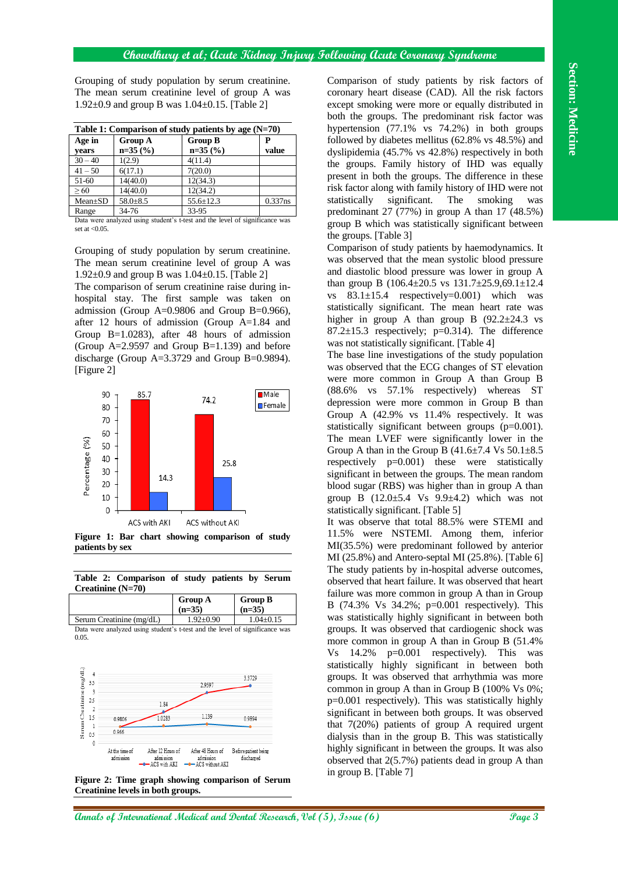Grouping of study population by serum creatinine. The mean serum creatinine level of group A was 1.92±0.9 and group B was 1.04±0.15. [Table 2]

| Table 1: Comparison of study patients by age $(N=70)$ |                |                 |            |  |  |
|-------------------------------------------------------|----------------|-----------------|------------|--|--|
| Age in                                                | <b>Group A</b> | <b>Group B</b>  | Р          |  |  |
| vears                                                 | $n=35(%)$      | $n=35(%)$       | value      |  |  |
| $30 - 40$                                             | 1(2.9)         | 4(11.4)         |            |  |  |
| $41 - 50$                                             | 6(17.1)        | 7(20.0)         |            |  |  |
| $51-60$                                               | 14(40.0)       | 12(34.3)        |            |  |  |
| > 60                                                  | 14(40.0)       | 12(34.2)        |            |  |  |
| $Mean \pm SD$                                         | $58.0 + 8.5$   | $55.6 \pm 12.3$ | $0.337$ ns |  |  |
| Range                                                 | 34-76          | 33-95           |            |  |  |

Data were analyzed using student's t-test and the level of significance was set at  $<$  0.05

Grouping of study population by serum creatinine. The mean serum creatinine level of group A was 1.92±0.9 and group B was 1.04±0.15. [Table 2]

The comparison of serum creatinine raise during inhospital stay. The first sample was taken on admission (Group A=0.9806 and Group B=0.966), after 12 hours of admission (Group A=1.84 and Group B=1.0283), after 48 hours of admission (Group  $A=2.9597$  and Group  $B=1.139$ ) and before discharge (Group  $A=3.3729$  and Group B=0.9894). [Figure 2]



**Figure 1: Bar chart showing comparison of study patients by sex**

**Table 2: Comparison of study patients by Serum Creatinine (N=70)**

| $\alpha$                 |                            |                            |
|--------------------------|----------------------------|----------------------------|
|                          | <b>Group A</b><br>$(n=35)$ | <b>Group B</b><br>$(n=35)$ |
| Serum Creatinine (mg/dL) | $1.92 \pm 0.90$            | $1.04 \pm 0.15$            |

Data were analyzed using student's t-test and the level of significance was 0.05.



**Figure 2: Time graph showing comparison of Serum Creatinine levels in both groups.**

Comparison of study patients by risk factors of coronary heart disease (CAD). All the risk factors except smoking were more or equally distributed in both the groups. The predominant risk factor was hypertension (77.1% vs 74.2%) in both groups followed by diabetes mellitus (62.8% vs 48.5%) and dyslipidemia (45.7% vs 42.8%) respectively in both the groups. Family history of IHD was equally present in both the groups. The difference in these risk factor along with family history of IHD were not statistically significant. The smoking was predominant 27 (77%) in group A than 17 (48.5%) group B which was statistically significant between the groups. [Table 3]

Comparison of study patients by haemodynamics. It was observed that the mean systolic blood pressure and diastolic blood pressure was lower in group A than group B (106.4±20.5 vs 131.7±25.9,69.1±12.4 vs 83.1±15.4 respectively=0.001) which was statistically significant. The mean heart rate was higher in group A than group B  $(92.2 \pm 24.3 \text{ vs }$ 87.2 $\pm$ 15.3 respectively; p=0.314). The difference was not statistically significant. [Table 4]

The base line investigations of the study population was observed that the ECG changes of ST elevation were more common in Group A than Group B (88.6% vs 57.1% respectively) whereas ST depression were more common in Group B than Group A (42.9% vs 11.4% respectively. It was statistically significant between groups (p=0.001). The mean LVEF were significantly lower in the Group A than in the Group B  $(41.6\pm7.4 \text{ Vs } 50.1\pm8.5 \text{ Vs})$ respectively p=0.001) these were statistically significant in between the groups. The mean random blood sugar (RBS) was higher than in group A than group B  $(12.0 \pm 5.4 \text{ Vs } 9.9 \pm 4.2)$  which was not statistically significant. [Table 5]

It was observe that total 88.5% were STEMI and 11.5% were NSTEMI. Among them, inferior MI(35.5%) were predominant followed by anterior MI (25.8%) and Antero-septal MI (25.8%). [Table 6] The study patients by in-hospital adverse outcomes, observed that heart failure. It was observed that heart failure was more common in group A than in Group B (74.3% Vs 34.2%; p=0.001 respectively). This was statistically highly significant in between both groups. It was observed that cardiogenic shock was more common in group A than in Group B (51.4% Vs 14.2% p=0.001 respectively). This was statistically highly significant in between both groups. It was observed that arrhythmia was more common in group A than in Group B (100% Vs 0%; p=0.001 respectively). This was statistically highly significant in between both groups. It was observed that 7(20%) patients of group A required urgent dialysis than in the group B. This was statistically highly significant in between the groups. It was also observed that 2(5.7%) patients dead in group A than in group B. [Table 7]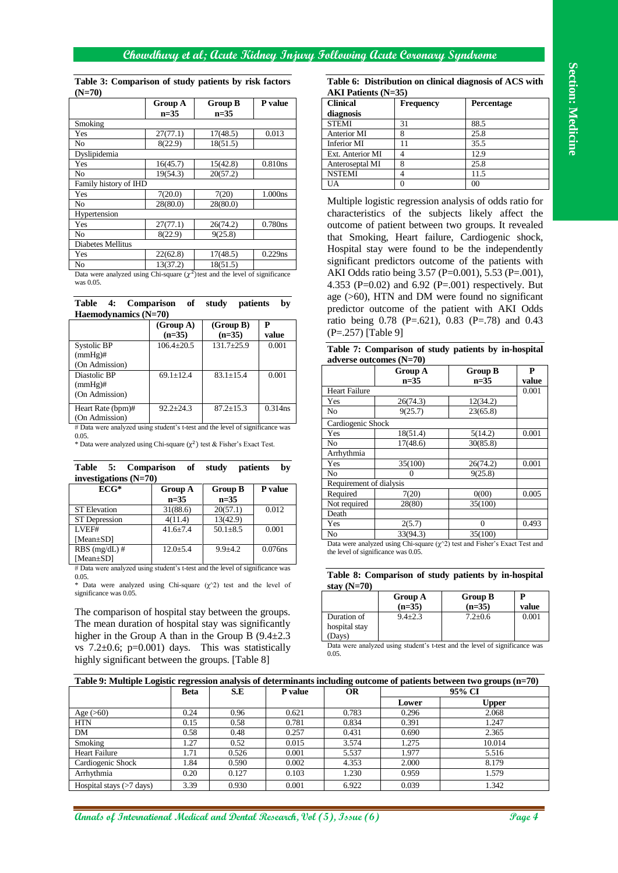#### **Table 3: Comparison of study patients by risk factors (N=70)**

|                       | <b>Group A</b> | <b>Group B</b> | P value |
|-----------------------|----------------|----------------|---------|
|                       | $n=35$         | $n=35$         |         |
| Smoking               |                |                |         |
| Yes                   | 27(77.1)       | 17(48.5)       | 0.013   |
| No                    | 8(22.9)        | 18(51.5)       |         |
| Dyslipidemia          |                |                |         |
| Yes                   | 16(45.7)       | 15(42.8)       | 0.810ns |
| No                    | 19(54.3)       | 20(57.2)       |         |
| Family history of IHD |                |                |         |
| Yes                   | 7(20.0)        | 7(20)          | 1.000ns |
| No                    | 28(80.0)       | 28(80.0)       |         |
| Hypertension          |                |                |         |
| Yes                   | 27(77.1)       | 26(74.2)       | 0.780ns |
| No                    | 8(22.9)        | 9(25.8)        |         |
| Diabetes Mellitus     |                |                |         |
| Yes                   | 22(62.8)       | 17(48.5)       | 0.229ns |
| No                    | 13(37.2)<br>π. | 18(51.5)       |         |

Data were analyzed using Chi-square  $(\chi^2)$  test and the level of significance was 0.05.

|  | Table 4: Comparison of study patients by |  |  |
|--|------------------------------------------|--|--|
|  | Haemodynamics $(N=70)$                   |  |  |

|                                              | (Group A)<br>$(n=35)$ | (Group B)<br>$(n=35)$ | Р<br>value |
|----------------------------------------------|-----------------------|-----------------------|------------|
| Systolic BP<br>$(mmHg)$ #<br>(On Admission)  | $106.4 + 20.5$        | $131.7+25.9$          | 0.001      |
| Diastolic BP<br>$(mmHg)$ #<br>(On Admission) | $69.1 + 12.4$         | $83.1 + 15.4$         | 0.001      |
| Heart Rate (bpm)#<br>(On Admission)          | $92.2 + 24.3$         | $87.2 \pm 15.3$       | $0.314$ ns |

# Data were analyzed using student's t-test and the level of significance was 0.05.

\* Data were analyzed using Chi-square  $(\chi^2)$  test & Fisher's Exact Test.

|  | Table 5: Comparison of study patients by |  |  |
|--|------------------------------------------|--|--|
|  | investigations $(N=70)$                  |  |  |

| $ECG^*$                                                                                      | <b>Group A</b> | <b>Group B</b> | P value | Regu<br>Requ |
|----------------------------------------------------------------------------------------------|----------------|----------------|---------|--------------|
|                                                                                              | $n=35$         | $n = 35$       |         | Not n        |
| <b>ST Elevation</b>                                                                          | 31(88.6)       | 20(57.1)       | 0.012   | Death        |
| <b>ST</b> Depression                                                                         | 4(11.4)        | 13(42.9)       |         | Yes          |
| LVEF#                                                                                        | $41.6 \pm 7.4$ | $50.1 \pm 8.5$ | 0.001   | No           |
| $[Mean \pm SD]$                                                                              |                |                |         | Data v       |
| $RBS$ (mg/dL) #                                                                              | $12.0 \pm 5.4$ | $9.9 + 4.2$    | 0.076ns | the lev      |
| [Mean $\pm$ SD]                                                                              |                |                |         |              |
| If There are no concluded to the contract of received the form of the state of the component |                |                |         |              |

# Data were analyzed using student's t-test and the level of significance was 0.05.

\* Data were analyzed using Chi-square  $(\chi^2)$  test and the level of significance was 0.05.

The comparison of hospital stay between the groups. The mean duration of hospital stay was significantly higher in the Group A than in the Group B  $(9.4 \pm 2.3)$ vs  $7.2 \pm 0.6$ ; p=0.001) days. This was statistically highly significant between the groups. [Table 8]

#### **Table 6: Distribution on clinical diagnosis of ACS with AKI Patients (N=35)**

| <b>Clinical</b>  | <b>Frequency</b> | <b>Percentage</b> |
|------------------|------------------|-------------------|
| diagnosis        |                  |                   |
| <b>STEMI</b>     | 31               | 88.5              |
| Anterior MI      | 8                | 25.8              |
| Inferior MI      |                  | 35.5              |
| Ext. Anterior MI |                  | 12.9              |
| Anteroseptal MI  | 8                | 25.8              |
| <b>NSTEMI</b>    |                  | 11.5              |
|                  |                  |                   |

Multiple logistic regression analysis of odds ratio for characteristics of the subjects likely affect the outcome of patient between two groups. It revealed that Smoking, Heart failure, Cardiogenic shock, Hospital stay were found to be the independently significant predictors outcome of the patients with AKI Odds ratio being 3.57 (P=0.001), 5.53 (P=.001), 4.353 ( $P=0.02$ ) and 6.92 ( $P=.001$ ) respectively. But age (>60), HTN and DM were found no significant predictor outcome of the patient with AKI Odds ratio being 0.78 (P=.621), 0.83 (P=.78) and 0.43 (P=.257) [Table 9]

| Table 7: Comparison of study patients by in-hospital |  |  |  |
|------------------------------------------------------|--|--|--|
| adverse outcomes $(N=70)$                            |  |  |  |

|                         | <b>Group A</b>                                                                  | <b>Group B</b> | P     |
|-------------------------|---------------------------------------------------------------------------------|----------------|-------|
|                         | $n = 35$                                                                        | $n = 35$       | value |
| <b>Heart Failure</b>    |                                                                                 |                | 0.001 |
| Yes                     | 26(74.3)                                                                        | 12(34.2)       |       |
| No                      | 9(25.7)                                                                         | 23(65.8)       |       |
| Cardiogenic Shock       |                                                                                 |                |       |
| Yes                     | 18(51.4)                                                                        | 5(14.2)        | 0.001 |
| No                      | 17(48.6)                                                                        | 30(85.8)       |       |
| Arrhythmia              |                                                                                 |                |       |
| Yes                     | 35(100)                                                                         | 26(74.2)       | 0.001 |
| No                      |                                                                                 | 9(25.8)        |       |
| Requirement of dialysis |                                                                                 |                |       |
| Required                | 7(20)                                                                           | 0(00)          | 0.005 |
| Not required            | 28(80)                                                                          | 35(100)        |       |
| Death                   |                                                                                 |                |       |
| Yes                     | 2(5.7)                                                                          | 0              | 0.493 |
| No                      | 33(94.3)                                                                        | 35(100)        |       |
|                         | Data were analyzed using Chi-square $(\chi^2)$ test and Fisher's Exact Test and |                |       |

the level of significance was 0.05.

|               | Table 8: Comparison of study patients by in-hospital |  |  |  |
|---------------|------------------------------------------------------|--|--|--|
| stay $(N=70)$ |                                                      |  |  |  |

|               | <b>Group A</b><br>$(n=35)$ | <b>Group B</b><br>$(n=35)$ | value |
|---------------|----------------------------|----------------------------|-------|
| Duration of   | $9.4 \pm 2.3$              | $7.2 \pm 0.6$              | 0.001 |
| hospital stay |                            |                            |       |
| Days)         |                            |                            |       |

Data were analyzed using student's t-test and the level of significance was 0.05.

| Table 9: Multiple Logistic regression analysis of determinants including outcome of patients between two groups (n=70) |             |       |                |           |        |        |
|------------------------------------------------------------------------------------------------------------------------|-------------|-------|----------------|-----------|--------|--------|
|                                                                                                                        | <b>Beta</b> | S.E   | <b>P</b> value | <b>OR</b> | 95% CI |        |
|                                                                                                                        |             |       |                |           | Lower  | Upper  |
| Age $(>60)$                                                                                                            | 0.24        | 0.96  | 0.621          | 0.783     | 0.296  | 2.068  |
| <b>HTN</b>                                                                                                             | 0.15        | 0.58  | 0.781          | 0.834     | 0.391  | 1.247  |
| DM                                                                                                                     | 0.58        | 0.48  | 0.257          | 0.431     | 0.690  | 2.365  |
| Smoking                                                                                                                | 1.27        | 0.52  | 0.015          | 3.574     | 1.275  | 10.014 |
| <b>Heart Failure</b>                                                                                                   | 1.71        | 0.526 | 0.001          | 5.537     | 1.977  | 5.516  |
| Cardiogenic Shock                                                                                                      | 1.84        | 0.590 | 0.002          | 4.353     | 2.000  | 8.179  |
| Arrhythmia                                                                                                             | 0.20        | 0.127 | 0.103          | 1.230     | 0.959  | 1.579  |
| Hospital stays $($ >7 days)                                                                                            | 3.39        | 0.930 | 0.001          | 6.922     | 0.039  | 1.342  |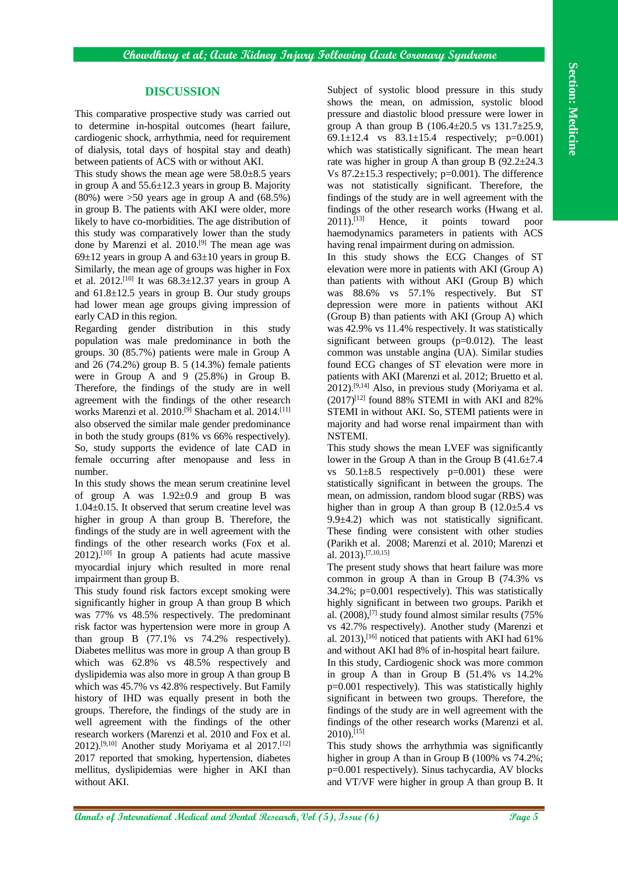# **DISCUSSION**

This comparative prospective study was carried out to determine in-hospital outcomes (heart failure, cardiogenic shock, arrhythmia, need for requirement of dialysis, total days of hospital stay and death) between patients of ACS with or without AKI.

This study shows the mean age were  $58.0 \pm 8.5$  years in group A and 55.6±12.3 years in group B. Majority  $(80\%)$  were >50 years age in group A and  $(68.5\%)$ in group B. The patients with AKI were older, more likely to have co-morbidities. The age distribution of this study was comparatively lower than the study done by Marenzi et al. 2010.[9] The mean age was  $69\pm12$  years in group A and  $63\pm10$  years in group B. Similarly, the mean age of groups was higher in Fox et al. 2012.<sup>[10]</sup> It was  $68.3 \pm 12.37$  years in group A and  $61.8 \pm 12.5$  years in group B. Our study groups had lower mean age groups giving impression of early CAD in this region.

Regarding gender distribution in this study population was male predominance in both the groups. 30 (85.7%) patients were male in Group A and 26 (74.2%) group B. 5 (14.3%) female patients were in Group A and 9 (25.8%) in Group B. Therefore, the findings of the study are in well agreement with the findings of the other research works Marenzi et al. 2010.<sup>[9]</sup> Shacham et al. 2014.<sup>[11]</sup> also observed the similar male gender predominance in both the study groups (81% vs 66% respectively). So, study supports the evidence of late CAD in female occurring after menopause and less in number.

In this study shows the mean serum creatinine level of group A was 1.92±0.9 and group B was 1.04±0.15. It observed that serum creatine level was higher in group A than group B. Therefore, the findings of the study are in well agreement with the findings of the other research works (Fox et al.  $2012$ ).<sup>[10]</sup> In group A patients had acute massive myocardial injury which resulted in more renal impairment than group B.

This study found risk factors except smoking were significantly higher in group A than group B which was 77% vs 48.5% respectively. The predominant risk factor was hypertension were more in group A than group B (77.1% vs 74.2% respectively). Diabetes mellitus was more in group A than group B which was 62.8% vs 48.5% respectively and dyslipidemia was also more in group A than group B which was 45.7% vs 42.8% respectively. But Family history of IHD was equally present in both the groups. Therefore, the findings of the study are in well agreement with the findings of the other research workers (Marenzi et al. 2010 and Fox et al. 2012).<sup>[9,10]</sup> Another study Moriyama et al  $2017$ .<sup>[12]</sup> 2017 reported that smoking, hypertension, diabetes mellitus, dyslipidemias were higher in AKI than without AKI.

Subject of systolic blood pressure in this study shows the mean, on admission, systolic blood pressure and diastolic blood pressure were lower in group A than group B  $(106.4 \pm 20.5 \text{ vs } 131.7 \pm 25.9,$ 69.1 $\pm$ 12.4 vs 83.1 $\pm$ 15.4 respectively; p=0.001) which was statistically significant. The mean heart rate was higher in group A than group B  $(92.2 \pm 24.3)$ Vs 87.2±15.3 respectively; p=0.001). The difference was not statistically significant. Therefore, the findings of the study are in well agreement with the findings of the other research works (Hwang et al. 2011).[13] Hence, it points toward poor haemodynamics parameters in patients with ACS having renal impairment during on admission.

In this study shows the ECG Changes of ST elevation were more in patients with AKI (Group A) than patients with without AKI (Group B) which was 88.6% vs 57.1% respectively. But ST depression were more in patients without AKI (Group B) than patients with AKI (Group A) which was 42.9% vs 11.4% respectively. It was statistically significant between groups  $(p=0.012)$ . The least common was unstable angina (UA). Similar studies found ECG changes of ST elevation were more in patients with AKI (Marenzi et al. 2012; Bruetto et al. 2012).[9,14] Also, in previous study (Moriyama et al.  $(2017)^{[12]}$  found 88% STEMI in with AKI and 82% STEMI in without AKI. So, STEMI patients were in majority and had worse renal impairment than with NSTEMI.

This study shows the mean LVEF was significantly lower in the Group A than in the Group B  $(41.6\pm7.4)$ vs  $50.1\pm8.5$  respectively  $p=0.001$ ) these were statistically significant in between the groups. The mean, on admission, random blood sugar (RBS) was higher than in group A than group B  $(12.0 \pm 5.4 \text{ vs } 10^{-12})$ 9.9±4.2) which was not statistically significant. These finding were consistent with other studies (Parikh et al. 2008; Marenzi et al. 2010; Marenzi et al. 2013).[7,10,15]

The present study shows that heart failure was more common in group A than in Group B (74.3% vs 34.2%; p=0.001 respectively). This was statistically highly significant in between two groups. Parikh et al.  $(2008)$ ,<sup>[7]</sup> study found almost similar results  $(75\%$ vs 42.7% respectively). Another study (Marenzi et al. 2013), [16] noticed that patients with AKI had 61% and without AKI had 8% of in-hospital heart failure. In this study, Cardiogenic shock was more common in group A than in Group B (51.4% vs 14.2% p=0.001 respectively). This was statistically highly significant in between two groups. Therefore, the findings of the study are in well agreement with the findings of the other research works (Marenzi et al.  $2010$ <sup>[15]</sup>

This study shows the arrhythmia was significantly higher in group A than in Group B (100% vs 74.2%; p=0.001 respectively). Sinus tachycardia, AV blocks and VT/VF were higher in group A than group B. It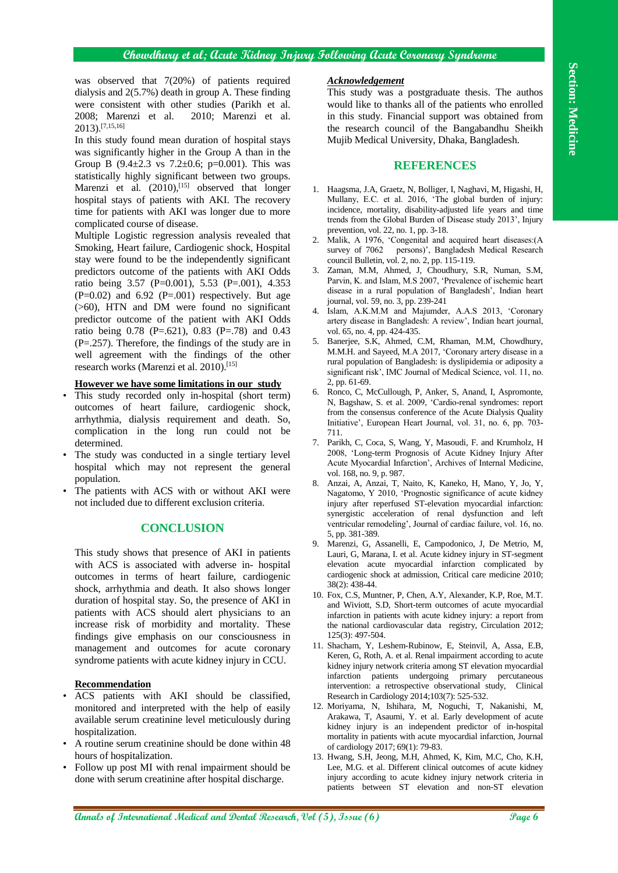was observed that 7(20%) of patients required dialysis and 2(5.7%) death in group A. These finding were consistent with other studies (Parikh et al. 2008; Marenzi et al. 2010; Marenzi et al. 2013).[7,15,16]

In this study found mean duration of hospital stays was significantly higher in the Group A than in the Group B (9.4 $\pm$ 2.3 vs 7.2 $\pm$ 0.6; p=0.001). This was statistically highly significant between two groups. Marenzi et al. (2010),<sup>[15]</sup> observed that longer hospital stays of patients with AKI. The recovery time for patients with AKI was longer due to more complicated course of disease.

Multiple Logistic regression analysis revealed that Smoking, Heart failure, Cardiogenic shock, Hospital stay were found to be the independently significant predictors outcome of the patients with AKI Odds ratio being 3.57 (P=0.001), 5.53 (P=.001), 4.353  $(P=0.02)$  and 6.92  $(P=.001)$  respectively. But age (>60), HTN and DM were found no significant predictor outcome of the patient with AKI Odds ratio being 0.78 (P=.621), 0.83 (P=.78) and 0.43 (P=.257). Therefore, the findings of the study are in well agreement with the findings of the other research works (Marenzi et al. 2010).[15]

## **However we have some limitations in our study**

- This study recorded only in-hospital (short term) outcomes of heart failure, cardiogenic shock, arrhythmia, dialysis requirement and death. So, complication in the long run could not be determined.
- The study was conducted in a single tertiary level hospital which may not represent the general population.
- The patients with ACS with or without AKI were not included due to different exclusion criteria.

# **CONCLUSION**

This study shows that presence of AKI in patients with ACS is associated with adverse in- hospital outcomes in terms of heart failure, cardiogenic shock, arrhythmia and death. It also shows longer duration of hospital stay. So, the presence of AKI in patients with ACS should alert physicians to an increase risk of morbidity and mortality. These findings give emphasis on our consciousness in management and outcomes for acute coronary syndrome patients with acute kidney injury in CCU.

## **Recommendation**

- ACS patients with AKI should be classified, monitored and interpreted with the help of easily available serum creatinine level meticulously during hospitalization.
- A routine serum creatinine should be done within 48 hours of hospitalization.
- Follow up post MI with renal impairment should be done with serum creatinine after hospital discharge.

#### *Acknowledgement*

This study was a postgraduate thesis. The authos would like to thanks all of the patients who enrolled in this study. Financial support was obtained from the research council of the Bangabandhu Sheikh Mujib Medical University, Dhaka, Bangladesh.

#### **REFERENCES**

- 1. Haagsma, J.A, Graetz, N, Bolliger, I, Naghavi, M, Higashi, H, Mullany, E.C. et al. 2016, 'The global burden of injury: incidence, mortality, disability-adjusted life years and time trends from the Global Burden of Disease study 2013', Injury prevention, vol. 22, no. 1, pp. 3-18.
- 2. Malik, A 1976, 'Congenital and acquired heart diseases:(A survey of 7062 persons)', Bangladesh Medical Research council Bulletin, vol. 2, no. 2, pp. 115-119.
- Zaman, M.M, Ahmed, J, Choudhury, S.R, Numan, S.M, Parvin, K. and Islam, M.S 2007, 'Prevalence of ischemic heart disease in a rural population of Bangladesh', Indian heart journal, vol. 59, no. 3, pp. 239-241
- 4. Islam, A.K.M.M and Majumder, A.A.S 2013, 'Coronary artery disease in Bangladesh: A review', Indian heart journal, vol. 65, no. 4, pp. 424-435.
- 5. Banerjee, S.K, Ahmed, C.M, Rhaman, M.M, Chowdhury, M.M.H. and Sayeed, M.A 2017, 'Coronary artery disease in a rural population of Bangladesh: is dyslipidemia or adiposity a significant risk', IMC Journal of Medical Science, vol. 11, no. 2, pp. 61-69.
- Ronco, C, McCullough, P, Anker, S, Anand, I, Aspromonte, N, Bagshaw, S. et al. 2009, 'Cardio-renal syndromes: report from the consensus conference of the Acute Dialysis Quality Initiative', European Heart Journal, vol. 31, no. 6, pp. 703- 711.
- 7. Parikh, C, Coca, S, Wang, Y, Masoudi, F. and Krumholz, H 2008, 'Long-term Prognosis of Acute Kidney Injury After Acute Myocardial Infarction', Archives of Internal Medicine, vol. 168, no. 9, p. 987.
- 8. Anzai, A, Anzai, T, Naito, K, Kaneko, H, Mano, Y, Jo, Y, Nagatomo, Y 2010, 'Prognostic significance of acute kidney injury after reperfused ST-elevation myocardial infarction: synergistic acceleration of renal dysfunction and left ventricular remodeling', Journal of cardiac failure, vol. 16, no. 5, pp. 381-389.
- 9. Marenzi, G, Assanelli, E, Campodonico, J, De Metrio, M, Lauri, G, Marana, I. et al. Acute kidney injury in ST-segment elevation acute myocardial infarction complicated by cardiogenic shock at admission, Critical care medicine 2010; 38(2): 438-44.
- 10. Fox, C.S, Muntner, P, Chen, A.Y, Alexander, K.P, Roe, M.T. and Wiviott, S.D, Short-term outcomes of acute myocardial infarction in patients with acute kidney injury: a report from the national cardiovascular data registry, Circulation 2012; 125(3): 497-504.
- 11. Shacham, Y, Leshem-Rubinow, E, Steinvil, A, Assa, E.B, Keren, G, Roth, A. et al. Renal impairment according to acute kidney injury network criteria among ST elevation myocardial infarction patients undergoing primary percutaneous intervention: a retrospective observational study, Clinical Research in Cardiology 2014;103(7): 525-532.
- 12. Moriyama, N, Ishihara, M, Noguchi, T, Nakanishi, M, Arakawa, T, Asaumi, Y. et al. Early development of acute kidney injury is an independent predictor of in-hospital mortality in patients with acute myocardial infarction, Journal of cardiology 2017; 69(1): 79-83.
- 13. Hwang, S.H, Jeong, M.H, Ahmed, K, Kim, M.C, Cho, K.H, Lee, M.G. et al. Different clinical outcomes of acute kidney injury according to acute kidney injury network criteria in patients between ST elevation and non-ST elevation